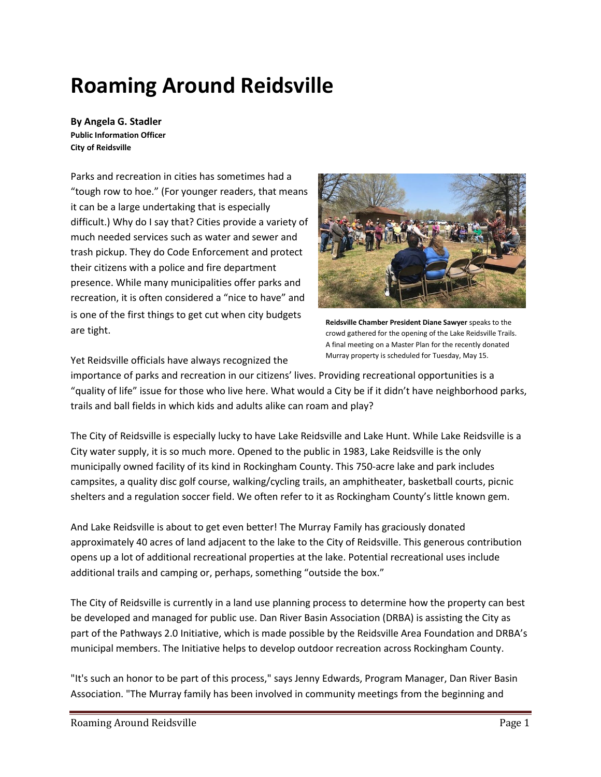# **Roaming Around Reidsville**

**By Angela G. Stadler Public Information Officer City of Reidsville**

Parks and recreation in cities has sometimes had a "tough row to hoe." (For younger readers, that means it can be a large undertaking that is especially difficult.) Why do I say that? Cities provide a variety of much needed services such as water and sewer and trash pickup. They do Code Enforcement and protect their citizens with a police and fire department presence. While many municipalities offer parks and recreation, it is often considered a "nice to have" and is one of the first things to get cut when city budgets are tight.



**Reidsville Chamber President Diane Sawyer** speaks to the crowd gathered for the opening of the Lake Reidsville Trails. A final meeting on a Master Plan for the recently donated Murray property is scheduled for Tuesday, May 15.

Yet Reidsville officials have always recognized the

importance of parks and recreation in our citizens' lives. Providing recreational opportunities is a "quality of life" issue for those who live here. What would a City be if it didn't have neighborhood parks, trails and ball fields in which kids and adults alike can roam and play?

The City of Reidsville is especially lucky to have Lake Reidsville and Lake Hunt. While Lake Reidsville is a City water supply, it is so much more. Opened to the public in 1983, Lake Reidsville is the only municipally owned facility of its kind in Rockingham County. This 750-acre lake and park includes campsites, a quality disc golf course, walking/cycling trails, an amphitheater, basketball courts, picnic shelters and a regulation soccer field. We often refer to it as Rockingham County's little known gem.

And Lake Reidsville is about to get even better! The Murray Family has graciously donated approximately 40 acres of land adjacent to the lake to the City of Reidsville. This generous contribution opens up a lot of additional recreational properties at the lake. Potential recreational uses include additional trails and camping or, perhaps, something "outside the box."

The City of Reidsville is currently in a land use planning process to determine how the property can best be developed and managed for public use. Dan River Basin Association (DRBA) is assisting the City as part of the Pathways 2.0 Initiative, which is made possible by the Reidsville Area Foundation and DRBA's municipal members. The Initiative helps to develop outdoor recreation across Rockingham County.

"It's such an honor to be part of this process," says Jenny Edwards, Program Manager, Dan River Basin Association. "The Murray family has been involved in community meetings from the beginning and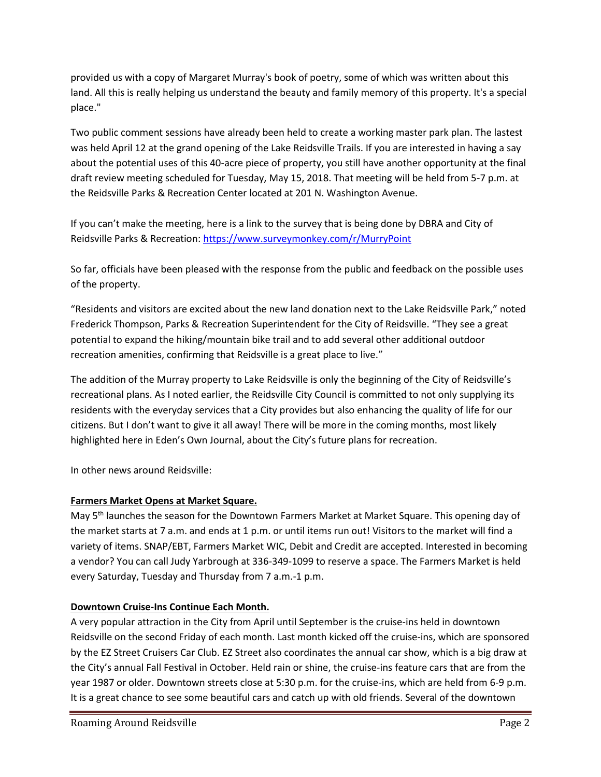provided us with a copy of Margaret Murray's book of poetry, some of which was written about this land. All this is really helping us understand the beauty and family memory of this property. It's a special place."

Two public comment sessions have already been held to create a working master park plan. The lastest was held April 12 at the grand opening of the Lake Reidsville Trails. If you are interested in having a say about the potential uses of this 40-acre piece of property, you still have another opportunity at the final draft review meeting scheduled for Tuesday, May 15, 2018. That meeting will be held from 5-7 p.m. at the Reidsville Parks & Recreation Center located at 201 N. Washington Avenue.

If you can't make the meeting, here is a link to the survey that is being done by DBRA and City of Reidsville Parks & Recreation:<https://www.surveymonkey.com/r/MurryPoint>

So far, officials have been pleased with the response from the public and feedback on the possible uses of the property.

"Residents and visitors are excited about the new land donation next to the Lake Reidsville Park," noted Frederick Thompson, Parks & Recreation Superintendent for the City of Reidsville. "They see a great potential to expand the hiking/mountain bike trail and to add several other additional outdoor recreation amenities, confirming that Reidsville is a great place to live."

The addition of the Murray property to Lake Reidsville is only the beginning of the City of Reidsville's recreational plans. As I noted earlier, the Reidsville City Council is committed to not only supplying its residents with the everyday services that a City provides but also enhancing the quality of life for our citizens. But I don't want to give it all away! There will be more in the coming months, most likely highlighted here in Eden's Own Journal, about the City's future plans for recreation.

In other news around Reidsville:

# **Farmers Market Opens at Market Square.**

May 5th launches the season for the Downtown Farmers Market at Market Square. This opening day of the market starts at 7 a.m. and ends at 1 p.m. or until items run out! Visitors to the market will find a variety of items. SNAP/EBT, Farmers Market WIC, Debit and Credit are accepted. Interested in becoming a vendor? You can call Judy Yarbrough at 336-349-1099 to reserve a space. The Farmers Market is held every Saturday, Tuesday and Thursday from 7 a.m.-1 p.m.

# **Downtown Cruise-Ins Continue Each Month.**

A very popular attraction in the City from April until September is the cruise-ins held in downtown Reidsville on the second Friday of each month. Last month kicked off the cruise-ins, which are sponsored by the EZ Street Cruisers Car Club. EZ Street also coordinates the annual car show, which is a big draw at the City's annual Fall Festival in October. Held rain or shine, the cruise-ins feature cars that are from the year 1987 or older. Downtown streets close at 5:30 p.m. for the cruise-ins, which are held from 6-9 p.m. It is a great chance to see some beautiful cars and catch up with old friends. Several of the downtown